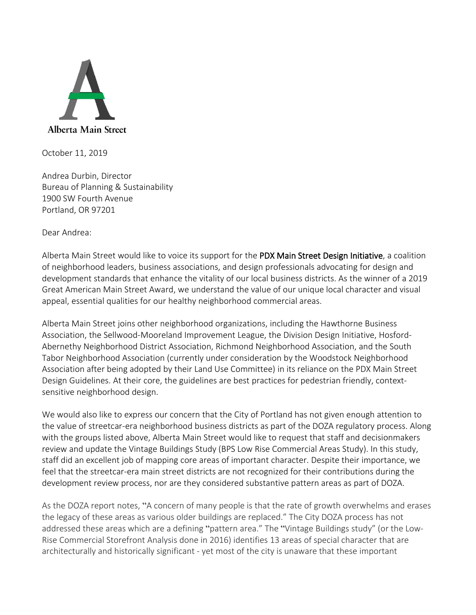

October 11, 2019

Andrea Durbin, Director Bureau of Planning & Sustainability 1900 SW Fourth Avenue Portland, OR 97201

Dear Andrea:

Alberta Main Street would like to voice its support for the PDX Main Street Design Initiative, a coalition of neighborhood leaders, business associations, and design professionals advocating for design and development standards that enhance the vitality of our local business districts. As the winner of a 2019 Great American Main Street Award, we understand the value of our unique local character and visual appeal, essential qualities for our healthy neighborhood commercial areas.

Alberta Main Street joins other neighborhood organizations, including the Hawthorne Business Association, the Sellwood-Mooreland Improvement League, the Division Design Initiative, Hosford-Abernethy Neighborhood District Association, Richmond Neighborhood Association, and the South Tabor Neighborhood Association (currently under consideration by the Woodstock Neighborhood Association after being adopted by their Land Use Committee) in its reliance on the PDX Main Street Design Guidelines. At their core, the guidelines are best practices for pedestrian friendly, contextsensitive neighborhood design.

We would also like to express our concern that the City of Portland has not given enough attention to the value of streetcar-era neighborhood business districts as part of the DOZA regulatory process. Along with the groups listed above, Alberta Main Street would like to request that staff and decisionmakers review and update the Vintage Buildings Study (BPS Low Rise Commercial Areas Study). In this study, staff did an excellent job of mapping core areas of important character. Despite their importance, we feel that the streetcar-era main street districts are not recognized for their contributions during the development review process, nor are they considered substantive pattern areas as part of DOZA.

As the DOZA report notes, "A concern of many people is that the rate of growth overwhelms and erases the legacy of these areas as various older buildings are replaced." The City DOZA process has not addressed these areas which are a defining "pattern area." The "Vintage Buildings study" (or the Low-Rise Commercial Storefront Analysis done in 2016) identifies 13 areas of special character that are architecturally and historically significant - yet most of the city is unaware that these important